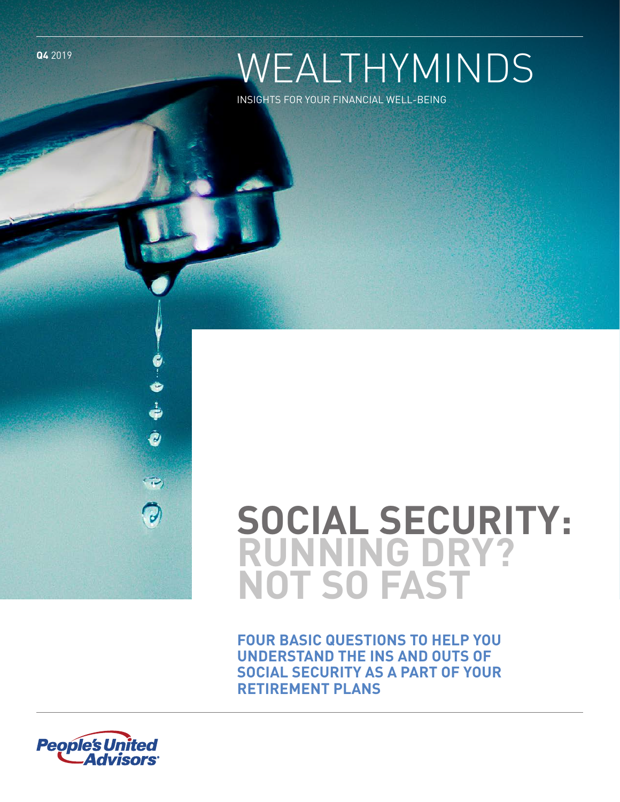**Q4** 2019

# WEALTHYMINDS

INSIGHTS FOR YOUR FINANCIAL WELL-BEING

# **SOCIAL SECURITY: RUNNING DRY? NOT SO FAST**

**SOCIAL SECURITY AS A PART OF YOUR PETIDEMENT DLANS FOUR BASIC QUESTIONS TO HELP YOU UNDERSTAND THE INS AND OUTS OF RETIREMENT PLANS**



Ò

 $\bigtriangledown$ 

0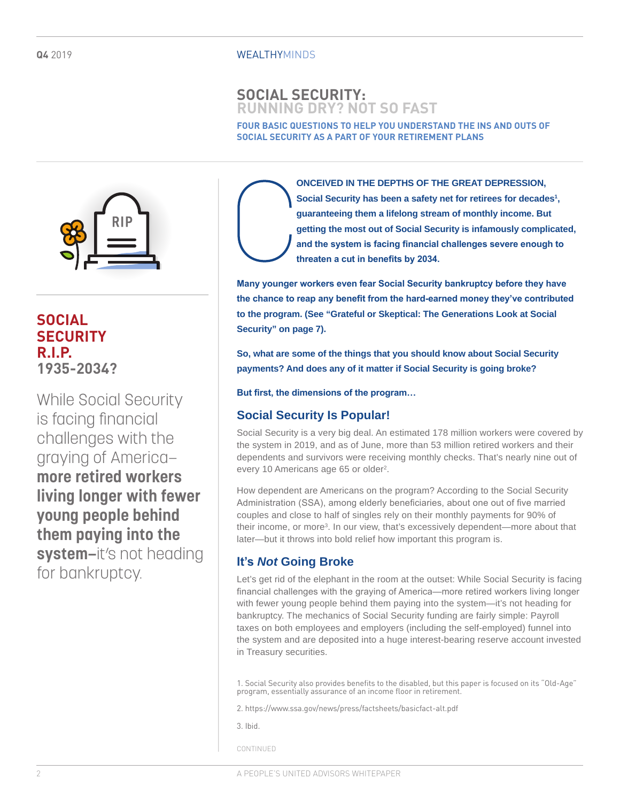#### WEALTHYMINDS

## **SOCIAL SECURITY: RUNNING DRY? NOT SO FAST**

**FOUR BASIC QUESTIONS TO HELP YOU UNDERSTAND THE INS AND OUTS OF SOCIAL SECURITY AS A PART OF YOUR RETIREMENT PLANS**



# **SOCIAL SECURITY R.I.P. 1935-2034?**

While Social Security is facing financial challenges with the graying of America **more retired workers living longer with fewer young people behind them paying into the**  system-it's not heading for bankruptcy.

**ONCEIVED IN THE DEPTHS OF THE GREAT DEPRESSION,**  Social Security has been a safety net for retirees for decades<sup>1</sup>, **guaranteeing them a lifelong stream of monthly income. But getting the most out of Social Security is infamously complicated, and the system is facing financial challenges severe enough to threaten a cut in benefits by 2034.** 

**Many younger workers even fear Social Security bankruptcy before they have the chance to reap any benefit from the hard-earned money they've contributed to the program. (See "Grateful or Skeptical: The Generations Look at Social Security" on page 7).**

**So, what are some of the things that you should know about Social Security payments? And does any of it matter if Social Security is going broke?** 

**But first, the dimensions of the program…** 

## **Social Security Is Popular!**

Social Security is a very big deal. An estimated 178 million workers were covered by the system in 2019, and as of June, more than 53 million retired workers and their dependents and survivors were receiving monthly checks. That's nearly nine out of every 10 Americans age 65 or older<sup>2</sup>.

How dependent are Americans on the program? According to the Social Security Administration (SSA), among elderly beneficiaries, about one out of five married couples and close to half of singles rely on their monthly payments for 90% of their income, or more<sup>3</sup>. In our view, that's excessively dependent—more about that later—but it throws into bold relief how important this program is.

## **It's** *Not* **Going Broke**

Let's get rid of the elephant in the room at the outset: While Social Security is facing financial challenges with the graying of America—more retired workers living longer with fewer young people behind them paying into the system—it's not heading for bankruptcy. The mechanics of Social Security funding are fairly simple: Payroll taxes on both employees and employers (including the self-employed) funnel into the system and are deposited into a huge interest-bearing reserve account invested in Treasury securities.

1. Social Security also provides benefits to the disabled, but this paper is focused on its "Old-Age" program, essentially assurance of an income floor in retirement.

2. https://www.ssa.gov/news/press/factsheets/basicfact-alt.pdf

3. Ibid.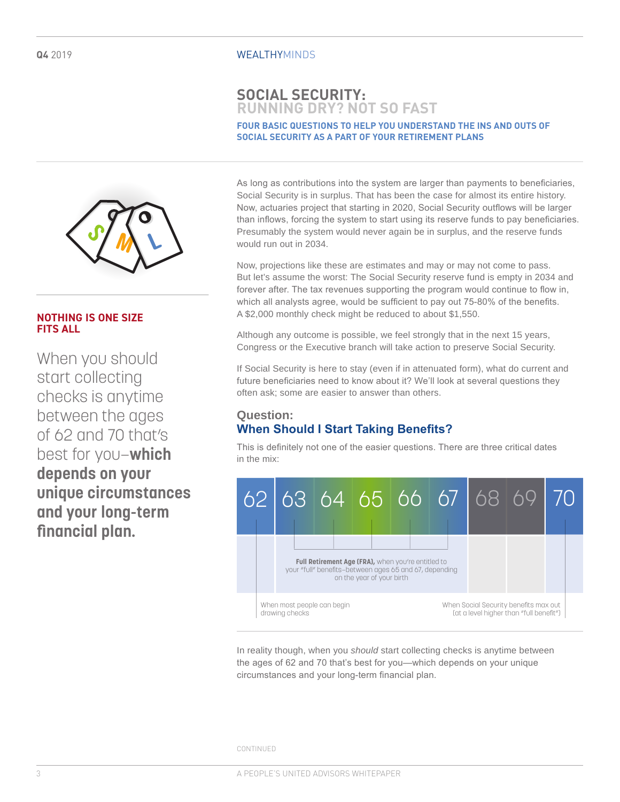## **SOCIAL SECURITY: RUNNING DRY? NOT SO FAST**

#### **FOUR BASIC QUESTIONS TO HELP YOU UNDERSTAND THE INS AND OUTS OF SOCIAL SECURITY AS A PART OF YOUR RETIREMENT PLANS**



Now, projections like these are estimates and may or may not come to pass. But let's assume the worst: The Social Security reserve fund is empty in 2034 and forever after. The tax revenues supporting the program would continue to flow in, which all analysts agree, would be sufficient to pay out 75-80% of the benefits. A \$2,000 monthly check might be reduced to about \$1,550.

Although any outcome is possible, we feel strongly that in the next 15 years, Congress or the Executive branch will take action to preserve Social Security.

If Social Security is here to stay (even if in attenuated form), what do current and future beneficiaries need to know about it? We'll look at several questions they often ask; some are easier to answer than others.

## **Question: When Should I Start Taking Benefits?**

This is definitely not one of the easier questions. There are three critical dates in the mix:



In reality though, when you *should* start collecting checks is anytime between the ages of 62 and 70 that's best for you—which depends on your unique circumstances and your long-term financial plan.

CONTINUED



## **NOTHING IS ONE SIZE FITS ALL**

When you should start collecting checks is anytime between the ages of 62 and 70 that's best for you—**which depends on your unique circumstances and your long-term financial plan.**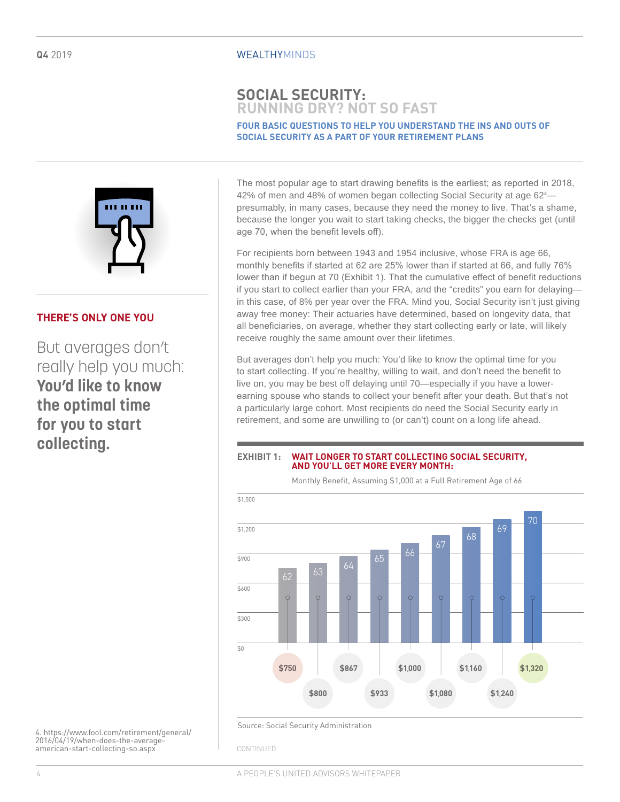#### WEALTHYMINDS

## **SOCIAL SECURITY: RUNNING DRY? NOT SO FAST**

#### **FOUR BASIC QUESTIONS TO HELP YOU UNDERSTAND THE INS AND OUTS OF SOCIAL SECURITY AS A PART OF YOUR RETIREMENT PLANS**



#### **THERE'S ONLY ONE YOU**

But averages don't really help you much: **You'd like to know the optimal time for you to start collecting.** 

The most popular age to start drawing benefits is the earliest; as reported in 2018, 42% of men and 48% of women began collecting Social Security at age 62<sup>4</sup> presumably, in many cases, because they need the money to live. That's a shame, because the longer you wait to start taking checks, the bigger the checks get (until age 70, when the benefit levels off).

For recipients born between 1943 and 1954 inclusive, whose FRA is age 66, monthly benefits if started at 62 are 25% lower than if started at 66, and fully 76% lower than if begun at 70 (Exhibit 1). That the cumulative effect of benefit reductions if you start to collect earlier than your FRA, and the "credits" you earn for delaying in this case, of 8% per year over the FRA. Mind you, Social Security isn't just giving away free money: Their actuaries have determined, based on longevity data, that all beneficiaries, on average, whether they start collecting early or late, will likely receive roughly the same amount over their lifetimes.

But averages don't help you much: You'd like to know the optimal time for you to start collecting. If you're healthy, willing to wait, and don't need the benefit to live on, you may be best off delaying until 70—especially if you have a lowerearning spouse who stands to collect your benefit after your death. But that's not a particularly large cohort. Most recipients do need the Social Security early in retirement, and some are unwilling to (or can't) count on a long life ahead.

#### **EXHIBIT 1: WAIT LONGER TO START COLLECTING SOCIAL SECURITY, AND YOU'LL GET MORE EVERY MONTH:**

Monthly Benefit, Assuming \$1,000 at a Full Retirement Age of 66



4. https://www.fool.com/retirement/general/ 2016/04/19/when-does-the-averageamerican-start-collecting-so.aspx

Source: Social Security Administration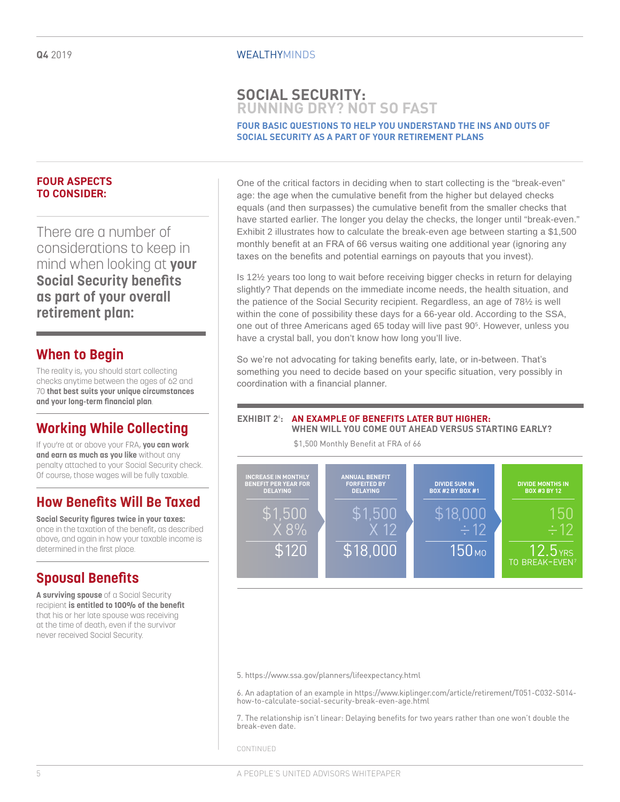## **SOCIAL SECURITY: RUNNING DRY? NOT SO FAST**

#### **FOUR BASIC QUESTIONS TO HELP YOU UNDERSTAND THE INS AND OUTS OF SOCIAL SECURITY AS A PART OF YOUR RETIREMENT PLANS**

#### **FOUR ASPECTS TO CONSIDER:**

There are a number of considerations to keep in mind when looking at **your Social Security benefits as part of your overall retirement plan:**

## **When to Begin**

The reality is, you should start collecting checks anytime between the ages of 62 and 70 **that best suits your unique circumstances and your long-term financial plan**.

# **Working While Collecting**

If you're at or above your FRA, **you can work and earn as much as you like** without any penalty attached to your Social Security check. Of course, those wages will be fully taxable.

## **How Benefits Will Be Taxed**

**Social Security figures twice in your taxes:** once in the taxation of the benefit, as described above, and again in how your taxable income is determined in the first place.

# **Spousal Benefits**

**A surviving spouse** of a Social Security recipient **is entitled to 100% of the benefit** that his or her late spouse was receiving at the time of death, even if the survivor never received Social Security.

One of the critical factors in deciding when to start collecting is the "break-even" age: the age when the cumulative benefit from the higher but delayed checks equals (and then surpasses) the cumulative benefit from the smaller checks that have started earlier. The longer you delay the checks, the longer until "break-even." Exhibit 2 illustrates how to calculate the break-even age between starting a \$1,500 monthly benefit at an FRA of 66 versus waiting one additional year (ignoring any taxes on the benefits and potential earnings on payouts that you invest).

Is 12½ years too long to wait before receiving bigger checks in return for delaying slightly? That depends on the immediate income needs, the health situation, and the patience of the Social Security recipient. Regardless, an age of 78½ is well within the cone of possibility these days for a 66-year old. According to the SSA, one out of three Americans aged 65 today will live past 905 . However, unless you have a crystal ball, you don't know how long you'll live.

So we're not advocating for taking benefits early, late, or in-between. That's something you need to decide based on your specific situation, very possibly in coordination with a financial planner.

#### **EXHIBIT 2**<sup>6</sup> **: AN EXAMPLE OF BENEFITS LATER BUT HIGHER: WHEN WILL YOU COME OUT AHEAD VERSUS STARTING EARLY?**

\$1,500 Monthly Benefit at FRA of 66



5. https://www.ssa.gov/planners/lifeexpectancy.html

6. An adaptation of an example in https://www.kiplinger.com/article/retirement/T051-C032-S014 how-to-calculate-social-security-break-even-age.html

7. The relationship isn't linear: Delaying benefits for two years rather than one won't double the break-even date.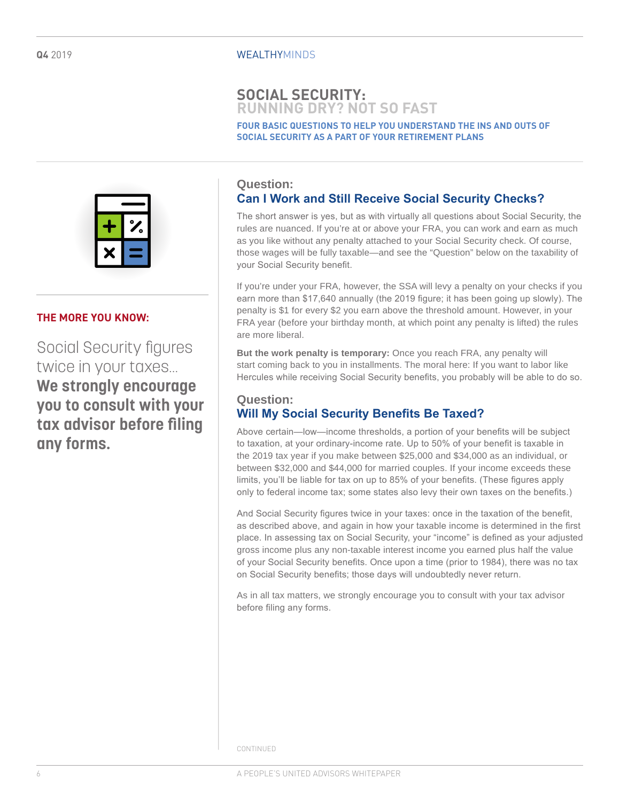## **SOCIAL SECURITY: RUNNING DRY? NOT SO FAST**

**FOUR BASIC QUESTIONS TO HELP YOU UNDERSTAND THE INS AND OUTS OF SOCIAL SECURITY AS A PART OF YOUR RETIREMENT PLANS**



## **THE MORE YOU KNOW:**

Social Security figures twice in your taxes… **We strongly encourage you to consult with your tax advisor before filing any forms.**

## **Question:**

## **Can I Work and Still Receive Social Security Checks?**

The short answer is yes, but as with virtually all questions about Social Security, the rules are nuanced. If you're at or above your FRA, you can work and earn as much as you like without any penalty attached to your Social Security check. Of course, those wages will be fully taxable—and see the "Question" below on the taxability of your Social Security benefit.

If you're under your FRA, however, the SSA will levy a penalty on your checks if you earn more than \$17,640 annually (the 2019 figure; it has been going up slowly). The penalty is \$1 for every \$2 you earn above the threshold amount. However, in your FRA year (before your birthday month, at which point any penalty is lifted) the rules are more liberal.

**But the work penalty is temporary:** Once you reach FRA, any penalty will start coming back to you in installments. The moral here: If you want to labor like Hercules while receiving Social Security benefits, you probably will be able to do so.

#### **Question: Will My Social Security Benefits Be Taxed?**

Above certain—low—income thresholds, a portion of your benefits will be subject to taxation, at your ordinary-income rate. Up to 50% of your benefit is taxable in the 2019 tax year if you make between \$25,000 and \$34,000 as an individual, or between \$32,000 and \$44,000 for married couples. If your income exceeds these limits, you'll be liable for tax on up to 85% of your benefits. (These figures apply only to federal income tax; some states also levy their own taxes on the benefits.)

And Social Security figures twice in your taxes: once in the taxation of the benefit, as described above, and again in how your taxable income is determined in the first place. In assessing tax on Social Security, your "income" is defined as your adjusted gross income plus any non-taxable interest income you earned plus half the value of your Social Security benefits. Once upon a time (prior to 1984), there was no tax on Social Security benefits; those days will undoubtedly never return.

As in all tax matters, we strongly encourage you to consult with your tax advisor before filing any forms.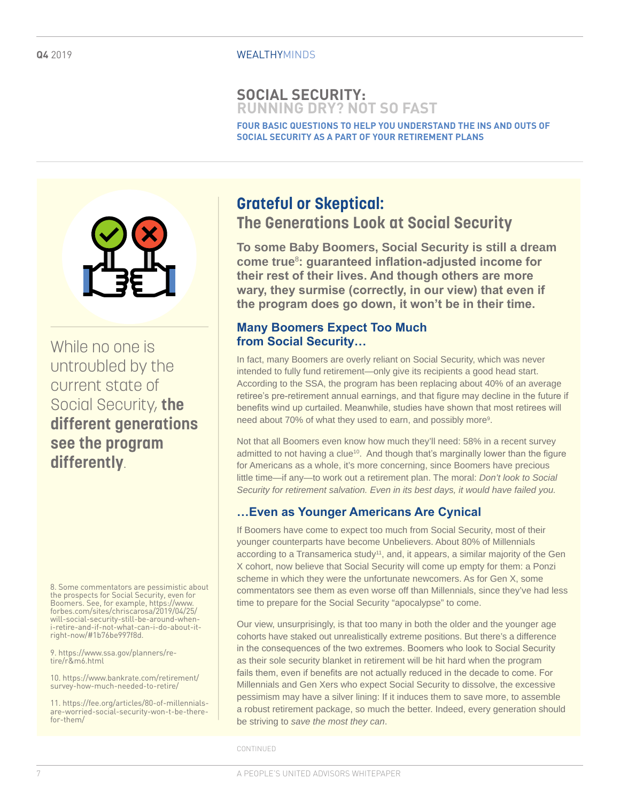## **SOCIAL SECURITY: RUNNING DRY? NOT SO FAST**

**FOUR BASIC QUESTIONS TO HELP YOU UNDERSTAND THE INS AND OUTS OF SOCIAL SECURITY AS A PART OF YOUR RETIREMENT PLANS**



While no one is untroubled by the current state of Social Security, **the different generations see the program differently**.

8. Some commentators are pessimistic about the prospects for Social Security, even for Boomers. See, for example, https://www. forbes.com/sites/chriscarosa/2019/04/25/ will-social-security-still-be-around-wheni-retire-and-if-not-what-can-i-do-about-itright-now/#1b76be997f8d.

9. https://www.ssa.gov/planners/retire/r&m6.html

10. https://www.bankrate.com/retirement/ survey-how-much-needed-to-retire/

11. https://fee.org/articles/80-of-millennialsare-worried-social-security-won-t-be-therefor-them/

# **Grateful or Skeptical: The Generations Look at Social Security**

**To some Baby Boomers, Social Security is still a dream come true**<sup>8</sup> **: guaranteed inflation-adjusted income for their rest of their lives. And though others are more wary, they surmise (correctly, in our view) that even if the program does go down, it won't be in their time.** 

## **Many Boomers Expect Too Much from Social Security…**

In fact, many Boomers are overly reliant on Social Security, which was never intended to fully fund retirement—only give its recipients a good head start. According to the SSA, the program has been replacing about 40% of an average retiree's pre-retirement annual earnings, and that figure may decline in the future if benefits wind up curtailed. Meanwhile, studies have shown that most retirees will need about 70% of what they used to earn, and possibly more<sup>9</sup>.

Not that all Boomers even know how much they'll need: 58% in a recent survey admitted to not having a clue<sup>10</sup>. And though that's marginally lower than the figure for Americans as a whole, it's more concerning, since Boomers have precious little time—if any—to work out a retirement plan. The moral: *Don't look to Social Security for retirement salvation. Even in its best days, it would have failed you.*

## **…Even as Younger Americans Are Cynical**

If Boomers have come to expect too much from Social Security, most of their younger counterparts have become Unbelievers. About 80% of Millennials according to a Transamerica study<sup>11</sup>, and, it appears, a similar majority of the Gen X cohort, now believe that Social Security will come up empty for them: a Ponzi scheme in which they were the unfortunate newcomers. As for Gen X, some commentators see them as even worse off than Millennials, since they've had less time to prepare for the Social Security "apocalypse" to come.

Our view, unsurprisingly, is that too many in both the older and the younger age cohorts have staked out unrealistically extreme positions. But there's a difference in the consequences of the two extremes. Boomers who look to Social Security as their sole security blanket in retirement will be hit hard when the program fails them, even if benefits are not actually reduced in the decade to come. For Millennials and Gen Xers who expect Social Security to dissolve, the excessive pessimism may have a silver lining: If it induces them to save more, to assemble a robust retirement package, so much the better. Indeed, every generation should be striving to *save the most they can*.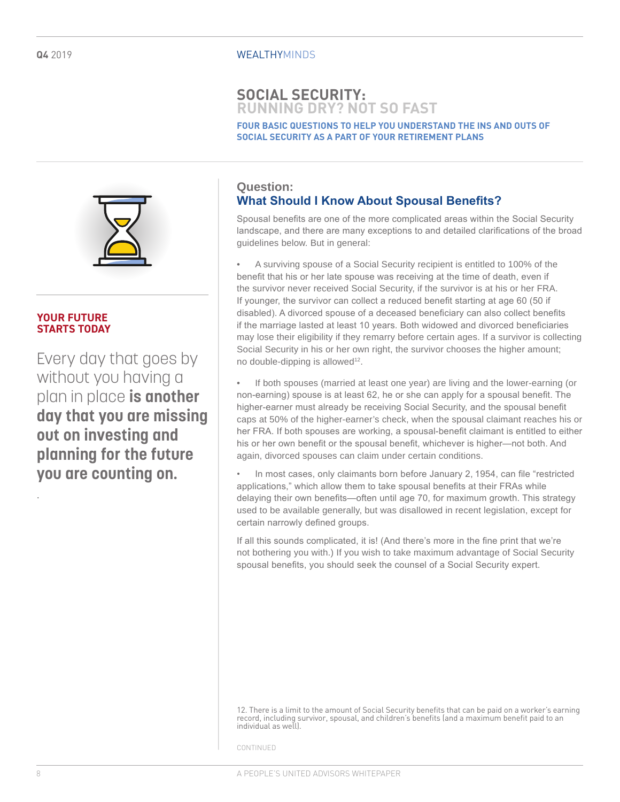## **SOCIAL SECURITY: RUNNING DRY? NOT SO FAST**

**FOUR BASIC QUESTIONS TO HELP YOU UNDERSTAND THE INS AND OUTS OF SOCIAL SECURITY AS A PART OF YOUR RETIREMENT PLANS**



#### **YOUR FUTURE STARTS TODAY**

Every day that goes by without you having a plan in place **is another day that you are missing out on investing and planning for the future you are counting on.** 

## **Question: What Should I Know About Spousal Benefits?**

Spousal benefits are one of the more complicated areas within the Social Security landscape, and there are many exceptions to and detailed clarifications of the broad guidelines below. But in general:

• A surviving spouse of a Social Security recipient is entitled to 100% of the benefit that his or her late spouse was receiving at the time of death, even if the survivor never received Social Security, if the survivor is at his or her FRA. If younger, the survivor can collect a reduced benefit starting at age 60 (50 if disabled). A divorced spouse of a deceased beneficiary can also collect benefits if the marriage lasted at least 10 years. Both widowed and divorced beneficiaries may lose their eligibility if they remarry before certain ages. If a survivor is collecting Social Security in his or her own right, the survivor chooses the higher amount; no double-dipping is allowed<sup>12</sup>.

If both spouses (married at least one year) are living and the lower-earning (or non-earning) spouse is at least 62, he or she can apply for a spousal benefit. The higher-earner must already be receiving Social Security, and the spousal benefit caps at 50% of the higher-earner's check, when the spousal claimant reaches his or her FRA. If both spouses are working, a spousal-benefit claimant is entitled to either his or her own benefit or the spousal benefit, whichever is higher—not both. And again, divorced spouses can claim under certain conditions.

In most cases, only claimants born before January 2, 1954, can file "restricted applications," which allow them to take spousal benefits at their FRAs while delaying their own benefits—often until age 70, for maximum growth. This strategy used to be available generally, but was disallowed in recent legislation, except for certain narrowly defined groups.

If all this sounds complicated, it is! (And there's more in the fine print that we're not bothering you with.) If you wish to take maximum advantage of Social Security spousal benefits, you should seek the counsel of a Social Security expert.

12. There is a limit to the amount of Social Security benefits that can be paid on a worker's earning record, including survivor, spousal, and children's benefits (and a maximum benefit paid to an individual as well).

CONTINUED

.